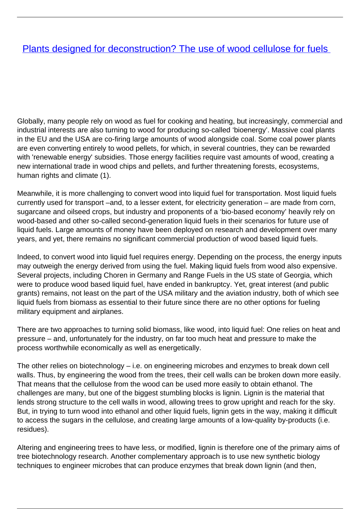## **[Plants designed for deconstruction? The use of wood cellulose for fuels](/bulletin-articles/plants-designed-for-deconstruction-the-use-of-wood-cellulose-for-fuels)**

Globally, many people rely on wood as fuel for cooking and heating, but increasingly, commercial and industrial interests are also turning to wood for producing so-called 'bioenergy'. Massive coal plants in the EU and the USA are co-firing large amounts of wood alongside coal. Some coal power plants are even converting entirely to wood pellets, for which, in several countries, they can be rewarded with 'renewable energy' subsidies. Those energy facilities require vast amounts of wood, creating a new international trade in wood chips and pellets, and further threatening forests, ecosystems, human rights and climate (1).

Meanwhile, it is more challenging to convert wood into liquid fuel for transportation. Most liquid fuels currently used for transport –and, to a lesser extent, for electricity generation – are made from corn, sugarcane and oilseed crops, but industry and proponents of a 'bio-based economy' heavily rely on wood-based and other so-called second-generation liquid fuels in their scenarios for future use of liquid fuels. Large amounts of money have been deployed on research and development over many years, and yet, there remains no significant commercial production of wood based liquid fuels.

Indeed, to convert wood into liquid fuel requires energy. Depending on the process, the energy inputs may outweigh the energy derived from using the fuel. Making liquid fuels from wood also expensive. Several projects, including Choren in Germany and Range Fuels in the US state of Georgia, which were to produce wood based liquid fuel, have ended in bankruptcy. Yet, great interest (and public grants) remains, not least on the part of the USA military and the aviation industry, both of which see liquid fuels from biomass as essential to their future since there are no other options for fueling military equipment and airplanes.

There are two approaches to turning solid biomass, like wood, into liquid fuel: One relies on heat and pressure – and, unfortunately for the industry, on far too much heat and pressure to make the process worthwhile economically as well as energetically.

The other relies on biotechnology – i.e. on engineering microbes and enzymes to break down cell walls. Thus, by engineering the wood from the trees, their cell walls can be broken down more easily. That means that the cellulose from the wood can be used more easily to obtain ethanol. The challenges are many, but one of the biggest stumbling blocks is lignin. Lignin is the material that lends strong structure to the cell walls in wood, allowing trees to grow upright and reach for the sky. But, in trying to turn wood into ethanol and other liquid fuels, lignin gets in the way, making it difficult to access the sugars in the cellulose, and creating large amounts of a low-quality by-products (i.e. residues).

Altering and engineering trees to have less, or modified, lignin is therefore one of the primary aims of tree biotechnology research. Another complementary approach is to use new synthetic biology techniques to engineer microbes that can produce enzymes that break down lignin (and then,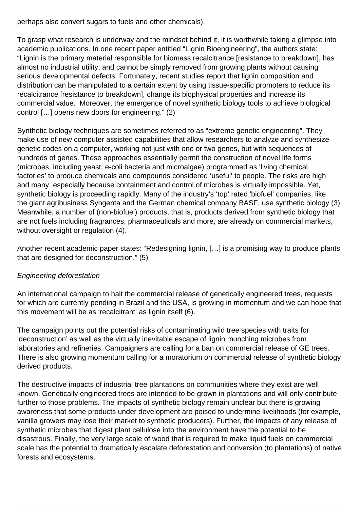perhaps also convert sugars to fuels and other chemicals).

To grasp what research is underway and the mindset behind it, it is worthwhile taking a glimpse into academic publications. In one recent paper entitled "Lignin Bioengineering", the authors state: "Lignin is the primary material responsible for biomass recalcitrance [resistance to breakdown], has almost no industrial utility, and cannot be simply removed from growing plants without causing serious developmental defects. Fortunately, recent studies report that lignin composition and distribution can be manipulated to a certain extent by using tissue-specific promoters to reduce its recalcitrance [resistance to breakdown], change its biophysical properties and increase its commercial value. Moreover, the emergence of novel synthetic biology tools to achieve biological control […] opens new doors for engineering." (2)

Synthetic biology techniques are sometimes referred to as "extreme genetic engineering". They make use of new computer assisted capabilities that allow researchers to analyze and synthesize genetic codes on a computer, working not just with one or two genes, but with sequences of hundreds of genes. These approaches essentially permit the construction of novel life forms (microbes, including yeast, e-coli bacteria and microalgae) programmed as 'living chemical factories' to produce chemicals and compounds considered 'useful' to people. The risks are high and many, especially because containment and control of microbes is virtually impossible. Yet, synthetic biology is proceeding rapidly. Many of the industry's 'top' rated 'biofuel' companies, like the giant agribusiness Syngenta and the German chemical company BASF, use synthetic biology (3). Meanwhile, a number of (non-biofuel) products, that is, products derived from synthetic biology that are not fuels including fragrances, pharmaceuticals and more, are already on commercial markets, without oversight or regulation (4).

Another recent academic paper states: "Redesigning lignin, […] is a promising way to produce plants that are designed for deconstruction." (5)

## Engineering deforestation

An international campaign to halt the commercial release of genetically engineered trees, requests for which are currently pending in Brazil and the USA, is growing in momentum and we can hope that this movement will be as 'recalcitrant' as lignin itself (6).

The campaign points out the potential risks of contaminating wild tree species with traits for 'deconstruction' as well as the virtually inevitable escape of lignin munching microbes from laboratories and refineries. Campaigners are calling for a ban on commercial release of GE trees. There is also growing momentum calling for a moratorium on commercial release of synthetic biology derived products.

The destructive impacts of industrial tree plantations on communities where they exist are well known. Genetically engineered trees are intended to be grown in plantations and will only contribute further to those problems. The impacts of synthetic biology remain unclear but there is growing awareness that some products under development are poised to undermine livelihoods (for example, vanilla growers may lose their market to synthetic producers). Further, the impacts of any release of synthetic microbes that digest plant cellulose into the environment have the potential to be disastrous. Finally, the very large scale of wood that is required to make liquid fuels on commercial scale has the potential to dramatically escalate deforestation and conversion (to plantations) of native forests and ecosystems.